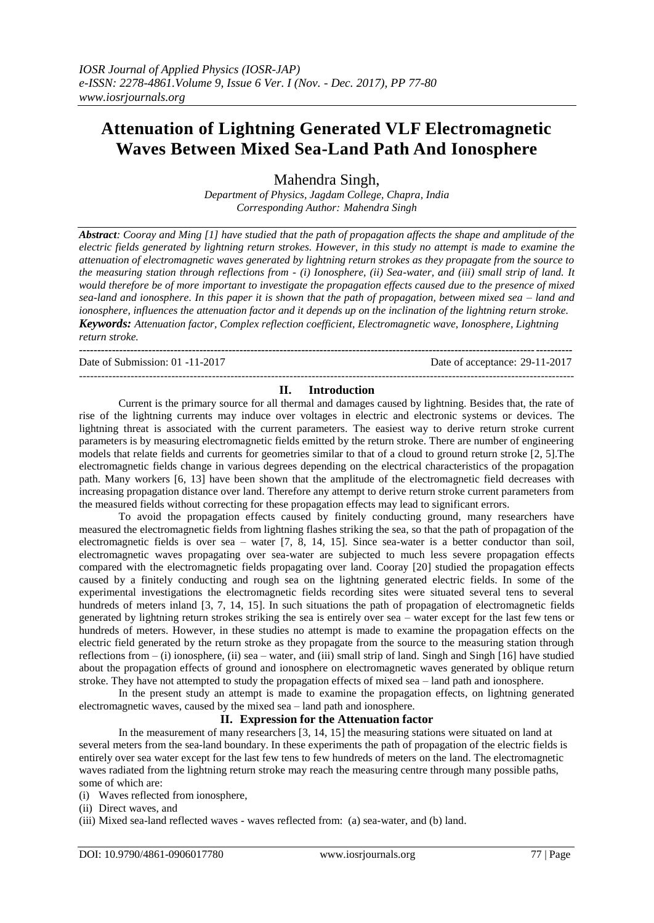# **Attenuation of Lightning Generated VLF Electromagnetic Waves Between Mixed Sea-Land Path And Ionosphere**

Mahendra Singh,

*Department of Physics, Jagdam College, Chapra, India Corresponding Author: Mahendra Singh*

*Abstract: Cooray and Ming [1] have studied that the path of propagation affects the shape and amplitude of the electric fields generated by lightning return strokes. However, in this study no attempt is made to examine the attenuation of electromagnetic waves generated by lightning return strokes as they propagate from the source to the measuring station through reflections from - (i) Ionosphere, (ii) Sea-water, and (iii) small strip of land. It would therefore be of more important to investigate the propagation effects caused due to the presence of mixed sea-land and ionosphere. In this paper it is shown that the path of propagation, between mixed sea – land and ionosphere, influences the attenuation factor and it depends up on the inclination of the lightning return stroke. Keywords: Attenuation factor, Complex reflection coefficient, Electromagnetic wave, Ionosphere, Lightning return stroke.*

**---------------------------------------------------------------------------------------------------------------------------------------**

Date of Submission: 01 -11-2017 Date of acceptance: 29-11-2017

### -------------------------------------------------------------------------------------------------------------------------------------- **II. Introduction**

Current is the primary source for all thermal and damages caused by lightning. Besides that, the rate of rise of the lightning currents may induce over voltages in electric and electronic systems or devices. The lightning threat is associated with the current parameters. The easiest way to derive return stroke current parameters is by measuring electromagnetic fields emitted by the return stroke. There are number of engineering models that relate fields and currents for geometries similar to that of a cloud to ground return stroke [2, 5].The electromagnetic fields change in various degrees depending on the electrical characteristics of the propagation path. Many workers [6, 13] have been shown that the amplitude of the electromagnetic field decreases with increasing propagation distance over land. Therefore any attempt to derive return stroke current parameters from the measured fields without correcting for these propagation effects may lead to significant errors.

To avoid the propagation effects caused by finitely conducting ground, many researchers have measured the electromagnetic fields from lightning flashes striking the sea, so that the path of propagation of the electromagnetic fields is over sea – water [7, 8, 14, 15]. Since sea-water is a better conductor than soil, electromagnetic waves propagating over sea-water are subjected to much less severe propagation effects compared with the electromagnetic fields propagating over land. Cooray [20] studied the propagation effects caused by a finitely conducting and rough sea on the lightning generated electric fields. In some of the experimental investigations the electromagnetic fields recording sites were situated several tens to several hundreds of meters inland [3, 7, 14, 15]. In such situations the path of propagation of electromagnetic fields generated by lightning return strokes striking the sea is entirely over sea – water except for the last few tens or hundreds of meters. However, in these studies no attempt is made to examine the propagation effects on the electric field generated by the return stroke as they propagate from the source to the measuring station through reflections from  $-$  (i) ionosphere, (ii) sea – water, and (iii) small strip of land. Singh and Singh [16] have studied about the propagation effects of ground and ionosphere on electromagnetic waves generated by oblique return stroke. They have not attempted to study the propagation effects of mixed sea – land path and ionosphere.

In the present study an attempt is made to examine the propagation effects, on lightning generated electromagnetic waves, caused by the mixed sea – land path and ionosphere.

## **II. Expression for the Attenuation factor**

In the measurement of many researchers [3, 14, 15] the measuring stations were situated on land at several meters from the sea-land boundary. In these experiments the path of propagation of the electric fields is entirely over sea water except for the last few tens to few hundreds of meters on the land. The electromagnetic waves radiated from the lightning return stroke may reach the measuring centre through many possible paths, some of which are:

(i) Waves reflected from ionosphere,

(iii) Mixed sea-land reflected waves - waves reflected from: (a) sea-water, and (b) land.

<sup>(</sup>ii) Direct waves, and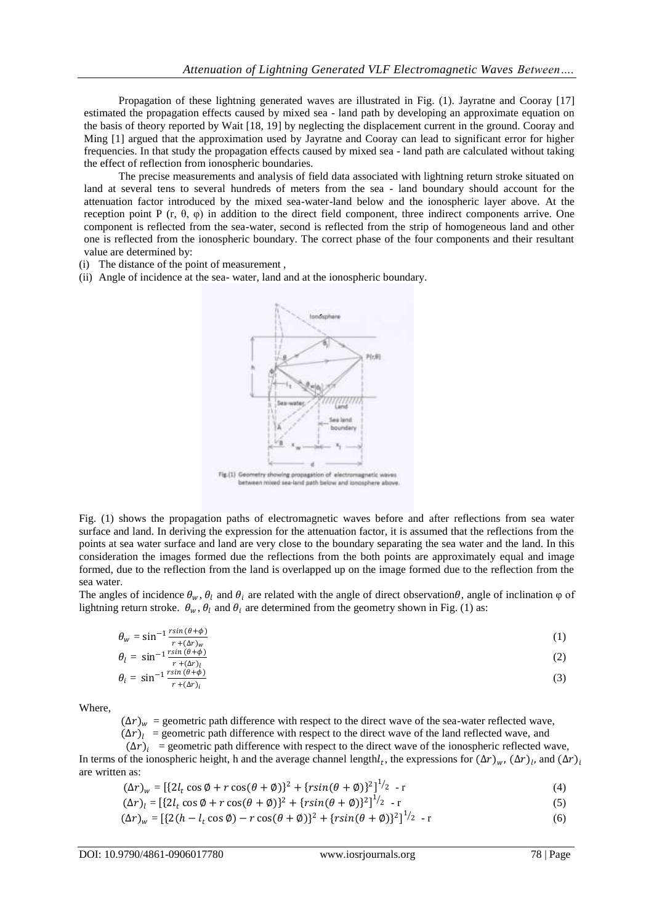Propagation of these lightning generated waves are illustrated in Fig. (1). Jayratne and Cooray [17] estimated the propagation effects caused by mixed sea - land path by developing an approximate equation on the basis of theory reported by Wait [18, 19] by neglecting the displacement current in the ground. Cooray and Ming [1] argued that the approximation used by Jayratne and Cooray can lead to significant error for higher frequencies. In that study the propagation effects caused by mixed sea - land path are calculated without taking the effect of reflection from ionospheric boundaries.

The precise measurements and analysis of field data associated with lightning return stroke situated on land at several tens to several hundreds of meters from the sea - land boundary should account for the attenuation factor introduced by the mixed sea-water-land below and the ionospheric layer above. At the reception point P (r, θ, φ) in addition to the direct field component, three indirect components arrive. One component is reflected from the sea-water, second is reflected from the strip of homogeneous land and other one is reflected from the ionospheric boundary. The correct phase of the four components and their resultant value are determined by:

- (i) The distance of the point of measurement ,
- (ii) Angle of incidence at the sea- water, land and at the ionospheric boundary.



Fig. (1) shows the propagation paths of electromagnetic waves before and after reflections from sea water surface and land. In deriving the expression for the attenuation factor, it is assumed that the reflections from the points at sea water surface and land are very close to the boundary separating the sea water and the land. In this consideration the images formed due the reflections from the both points are approximately equal and image formed, due to the reflection from the land is overlapped up on the image formed due to the reflection from the sea water.

The angles of incidence  $\theta_w$ ,  $\theta_l$  and  $\theta_i$  are related with the angle of direct observation $\theta$ , angle of inclination  $\varphi$  of lightning return stroke.  $\theta_w$ ,  $\theta_l$  and  $\theta_i$  are determined from the geometry shown in Fig. (1) as:

$$
\theta_{w} = \sin^{-1} \frac{r \sin (\theta + \phi)}{r + (\Delta r)_{w}}
$$
\n
$$
a_{w} = \sin^{-1} \frac{r \sin (\theta + \phi)}{r + (\Delta r)_{w}}
$$
\n(1)

$$
\theta_l = \sin^{-1} \frac{r \sin(\theta + \phi)}{r + (\Delta r)_l}
$$
\n
$$
\theta_i = \sin^{-1} \frac{r \sin(\theta + \phi)}{r + (\Delta r)_i}
$$
\n(2)

Where,

 $(\Delta r)_w$  = geometric path difference with respect to the direct wave of the sea-water reflected wave,

 $(\Delta r)_l$  = geometric path difference with respect to the direct wave of the land reflected wave, and

 $(\Delta r)$ <sub>i</sub> = geometric path difference with respect to the direct wave of the ionospheric reflected wave, In terms of the ionospheric height, h and the average channel length $l_t$ , the expressions for  $(\Delta r)_{w}$ ,  $(\Delta r)_{l}$ , and  $(\Delta r)_{i}$ are written as:

$$
(\Delta r)_w = [\{2l_t \cos \phi + r \cos(\theta + \phi)\}^2 + \{r \sin(\theta + \phi)\}^2]^{1/2} - r
$$
\n(4)

$$
(\Delta r)_l = [\{2l_t \cos \phi + r \cos(\theta + \phi)\}^2 + \{r \sin(\theta + \phi)\}^2]^{1/2} - r
$$
\n(5)

$$
(\Delta r)_w = \left[ \{ 2(h - l_t \cos \phi) - r \cos(\theta + \phi) \}^2 + \{ r \sin(\theta + \phi) \}^2 \right]^{1/2} - r \tag{6}
$$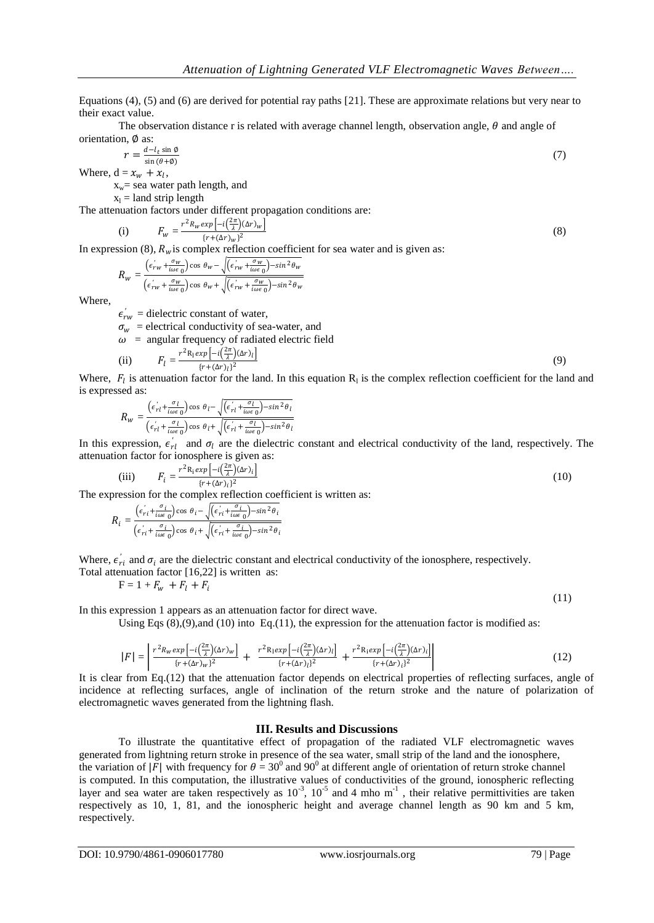Equations (4), (5) and (6) are derived for potential ray paths [21]. These are approximate relations but very near to their exact value.

The observation distance r is related with average channel length, observation angle,  $\theta$  and angle of orientation, ∅ as:

$$
=\frac{d-l_t\sin\theta}{\sin\left(\theta+\phi\right)}\tag{7}
$$

 $\boldsymbol{r}$ Where,  $d = x_w + x_l$ ,

 $x_w$ = sea water path length, and

 $x_1$  = land strip length

The attenuation factors under different propagation conditions are:

(i) 
$$
F_w = \frac{r^2 R_w exp\left[-i\left(\frac{2\pi}{\lambda}\right)(\Delta r)_{w}\right]}{\{r + (\Delta r)_{w}\}^2}
$$
(8)

In expression (8),  $R_w$  is complex reflection coefficient for sea water and is given as:

$$
R_{w} = \frac{(\epsilon'_{rw} + \frac{\sigma_{w}}{i\omega\epsilon_{0}})\cos\theta_{w} - \sqrt{(\epsilon'_{rw} + \frac{\sigma_{w}}{i\omega\epsilon_{0}}) - \sin^{2}\theta_{w}}}{(\epsilon'_{rw} + \frac{\sigma_{w}}{i\omega\epsilon_{0}})\cos\theta_{w} + \sqrt{(\epsilon'_{rw} + \frac{\sigma_{w}}{i\omega\epsilon_{0}}) - \sin^{2}\theta_{w}}}
$$

Where,

 $\epsilon'_{rw}$  = dielectric constant of water,

 $\sigma_w$  = electrical conductivity of sea-water, and

$$
\omega
$$
 = angular frequency of radiated electric field

(ii) 
$$
F_l = \frac{r^2 R_l exp\left[-i\left(\frac{2\pi}{\lambda}\right)(\Delta r)_l\right]}{\left[r + (\Delta r)_l\right]^2}
$$
(9)

Where,  $F_l$  is attenuation factor for the land. In this equation  $R_l$  is the complex reflection coefficient for the land and is expressed as:

$$
R_{w} = \frac{\left(\epsilon_{rl}^{'} + \frac{\sigma_{l}}{i\omega\epsilon_{0}}\right)\cos\theta_{l} - \sqrt{\left(\epsilon_{rl}^{'} + \frac{\sigma_{l}}{i\omega\epsilon_{0}}\right) - \sin^{2}\theta_{l}}}{\left(\epsilon_{rl}^{'} + \frac{\sigma_{l}}{i\omega\epsilon_{0}}\right)\cos\theta_{l} + \sqrt{\left(\epsilon_{rl}^{'} + \frac{\sigma_{l}}{i\omega\epsilon_{0}}\right) - \sin^{2}\theta_{l}}}
$$

In this expression,  $\epsilon'_{rl}$  and  $\sigma_l$  are the dielectric constant and electrical conductivity of the land, respectively. The attenuation factor for ionosphere is given as:

(iii) 
$$
F_i = \frac{r^2 R_i exp\left[-i\left(\frac{2\pi}{\lambda}\right)(\Delta r)_i\right]}{\{r + (\Delta r)_i\}^2}
$$
 (10)

The expression for the complex reflection coefficient is written as:

$$
R_i = \frac{(\epsilon'_{ri} + \frac{\sigma_i}{i\omega\epsilon_0})\cos\theta_i - \sqrt{(\epsilon'_{ri} + \frac{\sigma_i}{i\omega\epsilon_0}) - \sin^2\theta_i}}{(\epsilon'_{ri} + \frac{\sigma_i}{i\omega\epsilon_0})\cos\theta_i + \sqrt{(\epsilon'_{ri} + \frac{\sigma_i}{i\omega\epsilon_0}) - \sin^2\theta_i}}
$$

Where,  $\epsilon'_{ri}$  and  $\sigma_i$  are the dielectric constant and electrical conductivity of the ionosphere, respectively.

Total attenuation factor 
$$
[16,22]
$$
 is written as:

$$
F = 1 + F_w + F_l + F_i
$$

In this expression 1 appears as an attenuation factor for direct wave.

Using Eqs  $(8)$ , $(9)$ ,and  $(10)$  into Eq. $(11)$ , the expression for the attenuation factor is modified as:

$$
|F| = \left| \frac{r^2 R_w \exp\left[-i\left(\frac{2\pi}{\lambda}\right)(\Delta r)_w\right]}{(r+(\Delta r)_w)^2} + \frac{r^2 R_1 \exp\left[-i\left(\frac{2\pi}{\lambda}\right)(\Delta r)_l\right]}{(r+(\Delta r)_l)^2} + \frac{r^2 R_1 \exp\left[-i\left(\frac{2\pi}{\lambda}\right)(\Delta r)_i\right]}{(r+(\Delta r)_l)^2} \right| \tag{12}
$$

It is clear from Eq.(12) that the attenuation factor depends on electrical properties of reflecting surfaces, angle of incidence at reflecting surfaces, angle of inclination of the return stroke and the nature of polarization of electromagnetic waves generated from the lightning flash.

#### **III. Results and Discussions**

To illustrate the quantitative effect of propagation of the radiated VLF electromagnetic waves generated from lightning return stroke in presence of the sea water, small strip of the land and the ionosphere, the variation of |F| with frequency for  $\theta = 30^0$  and 90<sup>0</sup> at different angle of orientation of return stroke channel is computed. In this computation, the illustrative values of conductivities of the ground, ionospheric reflecting layer and sea water are taken respectively as  $10^{-3}$ ,  $10^{-5}$  and 4 mho m<sup>-1</sup>, their relative permittivities are taken respectively as 10, 1, 81, and the ionospheric height and average channel length as 90 km and 5 km, respectively.

(11)